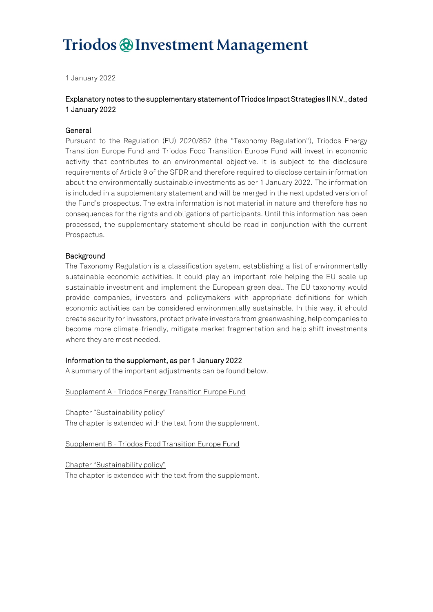# Triodos @ Investment Management

1 January 2022

## Explanatory notes to the supplementary statement of Triodos Impact Strategies II N.V., dated 1 January 2022

#### General

Pursuant to the Regulation (EU) 2020/852 (the "Taxonomy Regulation"), Triodos Energy Transition Europe Fund and Triodos Food Transition Europe Fund will invest in economic activity that contributes to an environmental objective. It is subject to the disclosure requirements of Article 9 of the SFDR and therefore required to disclose certain information about the environmentally sustainable investments as per 1 January 2022. The information is included in a supplementary statement and will be merged in the next updated version of the Fund's prospectus. The extra information is not material in nature and therefore has no consequences for the rights and obligations of participants. Until this information has been processed, the supplementary statement should be read in conjunction with the current Prospectus.

#### Background

The Taxonomy Regulation is a classification system, establishing a list of environmentally sustainable economic activities. It could play an important role helping the EU scale up sustainable investment and implement the European green deal. The EU taxonomy would provide companies, investors and policymakers with appropriate definitions for which economic activities can be considered environmentally sustainable. In this way, it should create security for investors, protect private investors from greenwashing, help companies to become more climate-friendly, mitigate market fragmentation and help shift investments where they are most needed.

#### Information to the supplement, as per 1 January 2022

A summary of the important adjustments can be found below.

Supplement A - Triodos Energy Transition Europe Fund

Chapter "Sustainability policy" The chapter is extended with the text from the supplement.

Supplement B - Triodos Food Transition Europe Fund

Chapter "Sustainability policy" The chapter is extended with the text from the supplement.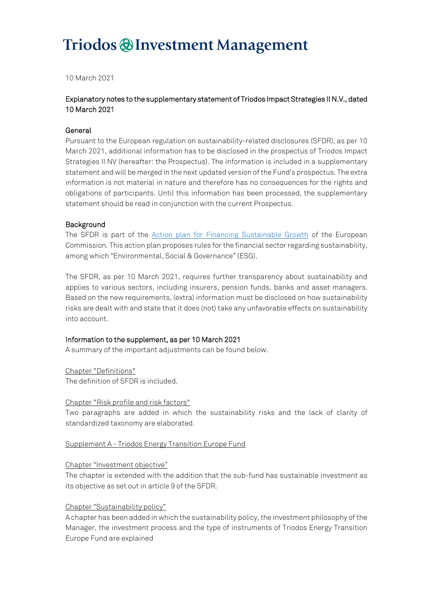# Triodos @ Investment Management

10 March 2021

## Explanatory notes to the supplementary statement of Triodos Impact Strategies II N.V., dated 10 March 2021

#### General

Pursuant to the European regulation on sustainability-related disclosures (SFDR), as per 10 March 2021, additional information has to be disclosed in the prospectus of Triodos Impact Strategies II NV (hereafter: the Prospectus). The information is included in a supplementary statement and will be merged in the next updated version of the Fund's prospectus. The extra information is not material in nature and therefore has no consequences for the rights and obligations of participants. Until this information has been processed, the supplementary statement should be read in conjunction with the current Prospectus.

### Background

The SFDR is part of the [Action plan for Financing Sustainable Growth](https://eur-lex.europa.eu/legal-content/EN/TXT/PDF/?uri=CELEX:52018DC0097&from=EN) of the European Commission. This action plan proposes rules for the financial sector regarding sustainability, among which "Environmental, Social & Governance" (ESG).

The SFDR, as per 10 March 2021, requires further transparency about sustainability and applies to various sectors, including insurers, pension funds, banks and asset managers. Based on the new requirements, (extra) information must be disclosed on how sustainability risks are dealt with and state that it does (not) take any unfavorable effects on sustainability into account.

### Information to the supplement, as per 10 March 2021

A summary of the important adjustments can be found below.

Chapter "Definitions"

The definition of SFDR is included.

#### Chapter "Risk profile and risk factors"

Two paragraphs are added in which the sustainability risks and the lack of clarity of standardized taxonomy are elaborated.

#### Supplement A - Triodos Energy Transition Europe Fund

#### Chapter "Investment objective"

The chapter is extended with the addition that the sub-fund has sustainable investment as its objective as set out in article 9 of the SFDR.

### Chapter "Sustainability policy"

A chapter has been added in which the sustainability policy, the investment philosophy of the Manager, the investment process and the type of instruments of Triodos Energy Transition Europe Fund are explained